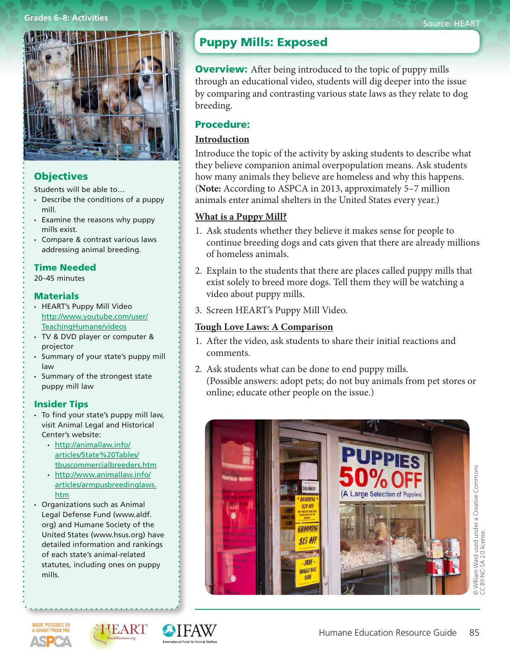#### **Grades 6–8: Activities**



# **Objectives**

Students will be able to…

- $\cdot$  Describe the conditions of a puppy mill.
- • Examine the reasons why puppy mills exist.
- • Compare & contrast various laws addressing animal breeding.

### Time Needed

20–45 minutes

### **Materials**

- • HEART's Puppy Mill Video http://www.youtube.com/user/ TeachingHumane/videos
- • TV & DVD player or computer & projector
- • Summary of your state's puppy mill law
- • Summary of the strongest state puppy mill law

### Insider Tips

- To find your state's puppy mill law, visit Animal Legal and Historical Center's website:
	- • http://animallaw.info/ articles/State%20Tables/ tbuscommercialbreeders.htm
	- • http://www.animallaw.info/ articles/armpusbreedinglaws. htm
- • Organizations such as Animal Legal Defense Fund (www.aldf. org) and Humane Society of the United States (www.hsus.org) have detailed information and rankings of each state's animal-related statutes, including ones on puppy mills.

# Puppy Mills: Exposed

**Overview:** After being introduced to the topic of puppy mills through an educational video, students will dig deeper into the issue by comparing and contrasting various state laws as they relate to dog breeding.

## Procedure:

## **Introduction**

Introduce the topic of the activity by asking students to describe what they believe companion animal overpopulation means. Ask students how many animals they believe are homeless and why this happens. (**Note:** According to ASPCA in 2013, approximately 5–7 million animals enter animal shelters in the United States every year.)

# **What is a Puppy Mill?**

- 1. Ask students whether they believe it makes sense for people to continue breeding dogs and cats given that there are already millions of homeless animals.
- 2. Explain to the students that there are places called puppy mills that exist solely to breed more dogs. Tell them they will be watching a video about puppy mills.
- 3. Screen HEART's Puppy Mill Video.

# **Tough Love Laws: A Comparison**

- 1. After the video, ask students to share their initial reactions and comments.
- 2. Ask students what can be done to end puppy mills. (Possible answers: adopt pets; do not buy animals from pet stores or online; educate other people on the issue.)